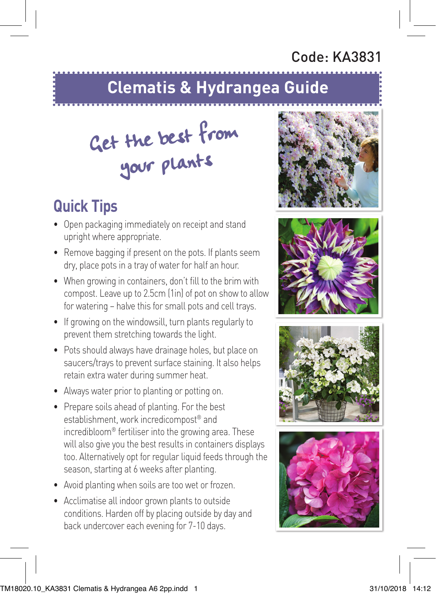## Code: KA3831

## **Clematis & Hydrangea Guide**

## Get the best from your plants

## **Quick Tips**

- Open packaging immediately on receipt and stand upright where appropriate.
- Remove bagging if present on the pots. If plants seem dry, place pots in a tray of water for half an hour.
- When growing in containers, don't fill to the brim with compost. Leave up to 2.5cm (1in) of pot on show to allow for watering – halve this for small pots and cell trays.
- If growing on the windowsill, turn plants regularly to prevent them stretching towards the light.
- Pots should always have drainage holes, but place on saucers/trays to prevent surface staining. It also helps retain extra water during summer heat.
- Always water prior to planting or potting on.
- Prepare soils ahead of planting. For the best establishment, work incredicompost® and incredibloom® fertiliser into the growing area. These will also give you the best results in containers displays too. Alternatively opt for regular liquid feeds through the season, starting at 6 weeks after planting.
- Avoid planting when soils are too wet or frozen.
- Acclimatise all indoor grown plants to outside conditions. Harden off by placing outside by day and back undercover each evening for 7-10 days.